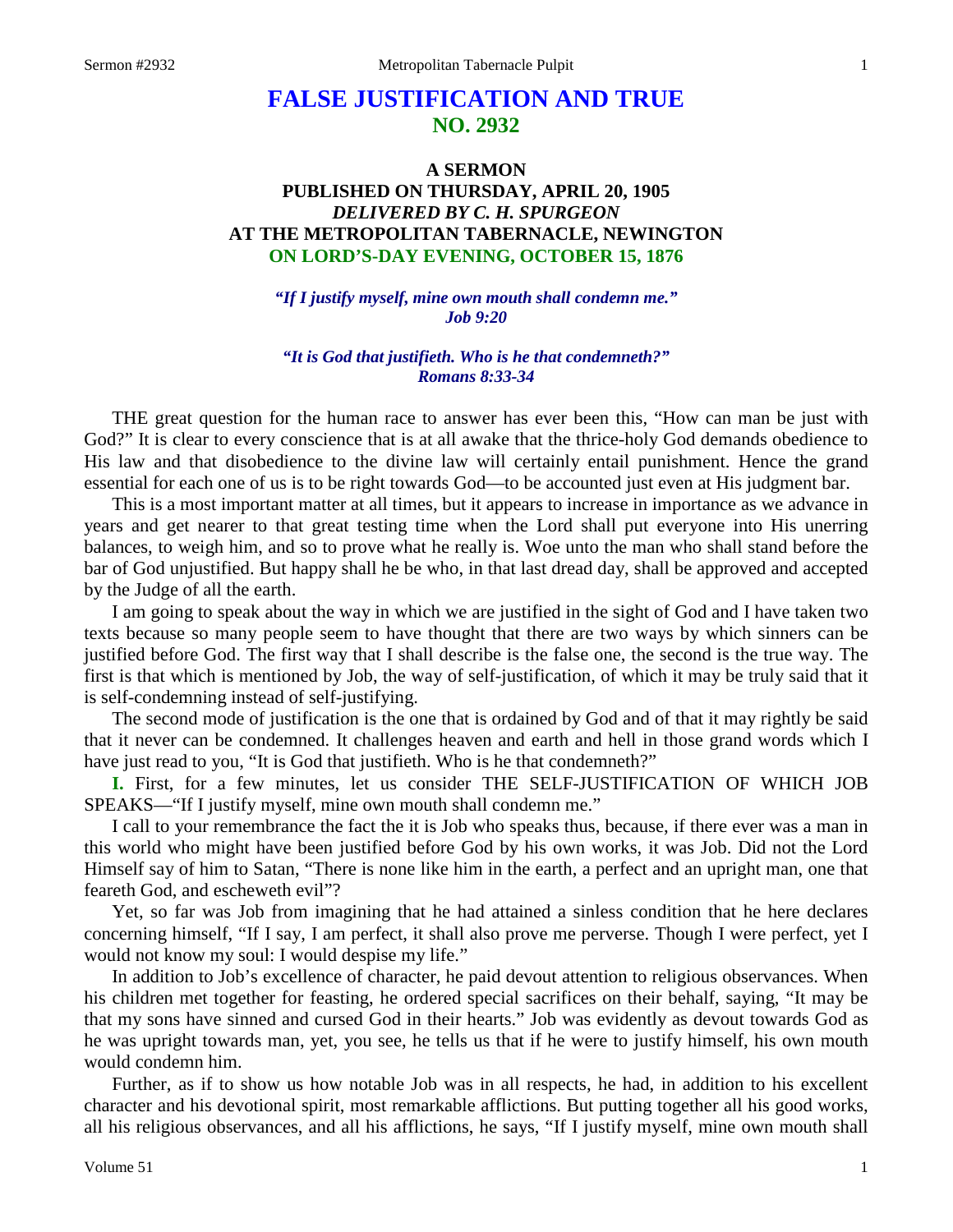# **FALSE JUSTIFICATION AND TRUE NO. 2932**

# **A SERMON PUBLISHED ON THURSDAY, APRIL 20, 1905** *DELIVERED BY C. H. SPURGEON* **AT THE METROPOLITAN TABERNACLE, NEWINGTON ON LORD'S-DAY EVENING, OCTOBER 15, 1876**

*"If I justify myself, mine own mouth shall condemn me." Job 9:20*

#### *"It is God that justifieth. Who is he that condemneth?" Romans 8:33-34*

THE great question for the human race to answer has ever been this, "How can man be just with God?" It is clear to every conscience that is at all awake that the thrice-holy God demands obedience to His law and that disobedience to the divine law will certainly entail punishment. Hence the grand essential for each one of us is to be right towards God—to be accounted just even at His judgment bar.

This is a most important matter at all times, but it appears to increase in importance as we advance in years and get nearer to that great testing time when the Lord shall put everyone into His unerring balances, to weigh him, and so to prove what he really is. Woe unto the man who shall stand before the bar of God unjustified. But happy shall he be who, in that last dread day, shall be approved and accepted by the Judge of all the earth.

I am going to speak about the way in which we are justified in the sight of God and I have taken two texts because so many people seem to have thought that there are two ways by which sinners can be justified before God. The first way that I shall describe is the false one, the second is the true way. The first is that which is mentioned by Job, the way of self-justification, of which it may be truly said that it is self-condemning instead of self-justifying.

The second mode of justification is the one that is ordained by God and of that it may rightly be said that it never can be condemned. It challenges heaven and earth and hell in those grand words which I have just read to you, "It is God that justifieth. Who is he that condemneth?"

**I.** First, for a few minutes, let us consider THE SELF-JUSTIFICATION OF WHICH JOB SPEAKS—"If I justify myself, mine own mouth shall condemn me."

I call to your remembrance the fact the it is Job who speaks thus, because, if there ever was a man in this world who might have been justified before God by his own works, it was Job. Did not the Lord Himself say of him to Satan, "There is none like him in the earth, a perfect and an upright man, one that feareth God, and escheweth evil"?

Yet, so far was Job from imagining that he had attained a sinless condition that he here declares concerning himself, "If I say, I am perfect, it shall also prove me perverse. Though I were perfect, yet I would not know my soul: I would despise my life."

In addition to Job's excellence of character, he paid devout attention to religious observances. When his children met together for feasting, he ordered special sacrifices on their behalf, saying, "It may be that my sons have sinned and cursed God in their hearts." Job was evidently as devout towards God as he was upright towards man, yet, you see, he tells us that if he were to justify himself, his own mouth would condemn him.

Further, as if to show us how notable Job was in all respects, he had, in addition to his excellent character and his devotional spirit, most remarkable afflictions. But putting together all his good works, all his religious observances, and all his afflictions, he says, "If I justify myself, mine own mouth shall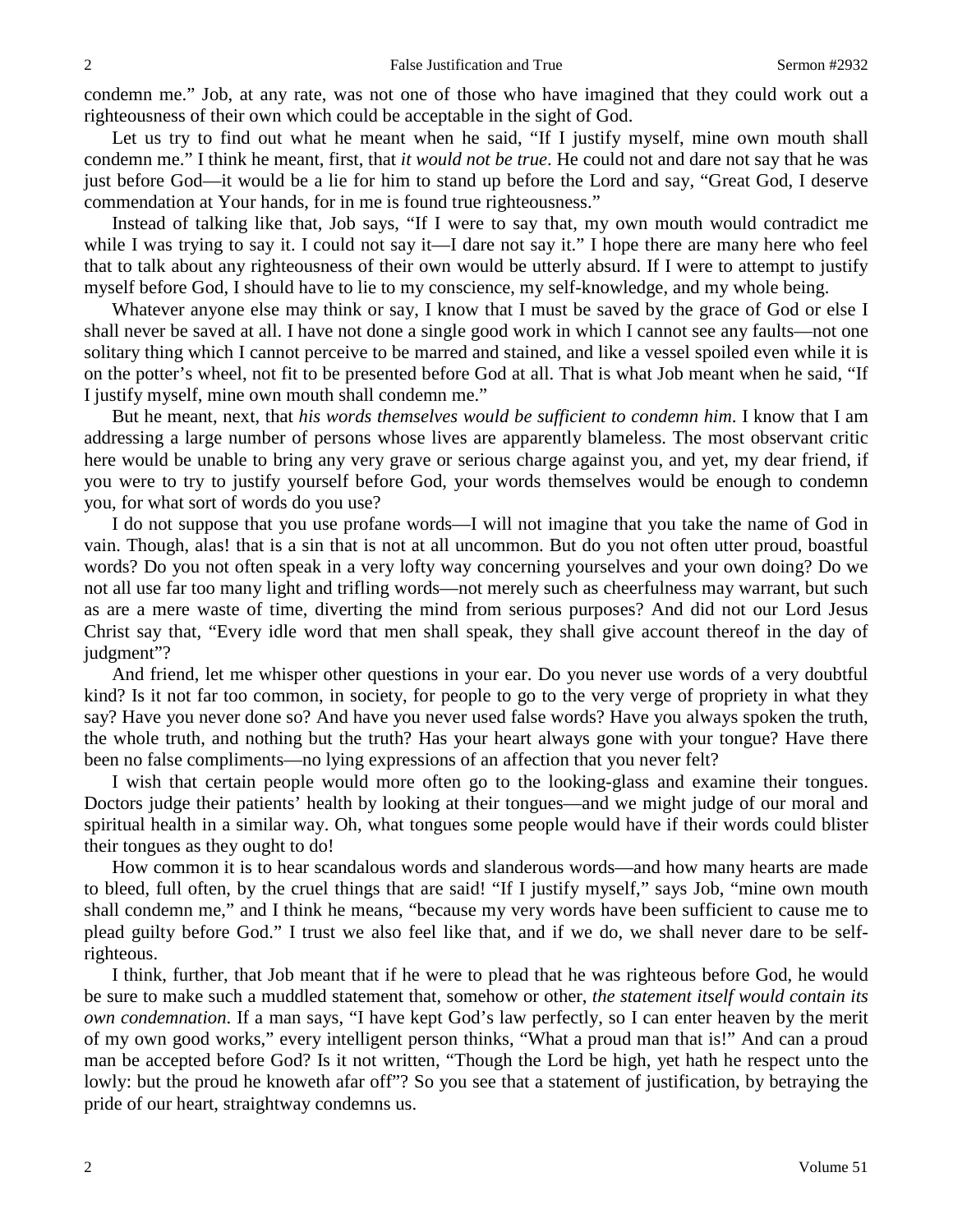condemn me." Job, at any rate, was not one of those who have imagined that they could work out a righteousness of their own which could be acceptable in the sight of God.

Let us try to find out what he meant when he said, "If I justify myself, mine own mouth shall condemn me." I think he meant, first, that *it would not be true*. He could not and dare not say that he was just before God—it would be a lie for him to stand up before the Lord and say, "Great God, I deserve commendation at Your hands, for in me is found true righteousness."

Instead of talking like that, Job says, "If I were to say that, my own mouth would contradict me while I was trying to say it. I could not say it—I dare not say it." I hope there are many here who feel that to talk about any righteousness of their own would be utterly absurd. If I were to attempt to justify myself before God, I should have to lie to my conscience, my self-knowledge, and my whole being.

Whatever anyone else may think or say, I know that I must be saved by the grace of God or else I shall never be saved at all. I have not done a single good work in which I cannot see any faults—not one solitary thing which I cannot perceive to be marred and stained, and like a vessel spoiled even while it is on the potter's wheel, not fit to be presented before God at all. That is what Job meant when he said, "If I justify myself, mine own mouth shall condemn me."

But he meant, next, that *his words themselves would be sufficient to condemn him*. I know that I am addressing a large number of persons whose lives are apparently blameless. The most observant critic here would be unable to bring any very grave or serious charge against you, and yet, my dear friend, if you were to try to justify yourself before God, your words themselves would be enough to condemn you, for what sort of words do you use?

I do not suppose that you use profane words—I will not imagine that you take the name of God in vain. Though, alas! that is a sin that is not at all uncommon. But do you not often utter proud, boastful words? Do you not often speak in a very lofty way concerning yourselves and your own doing? Do we not all use far too many light and trifling words—not merely such as cheerfulness may warrant, but such as are a mere waste of time, diverting the mind from serious purposes? And did not our Lord Jesus Christ say that, "Every idle word that men shall speak, they shall give account thereof in the day of judgment"?

And friend, let me whisper other questions in your ear. Do you never use words of a very doubtful kind? Is it not far too common, in society, for people to go to the very verge of propriety in what they say? Have you never done so? And have you never used false words? Have you always spoken the truth, the whole truth, and nothing but the truth? Has your heart always gone with your tongue? Have there been no false compliments—no lying expressions of an affection that you never felt?

I wish that certain people would more often go to the looking-glass and examine their tongues. Doctors judge their patients' health by looking at their tongues—and we might judge of our moral and spiritual health in a similar way. Oh, what tongues some people would have if their words could blister their tongues as they ought to do!

How common it is to hear scandalous words and slanderous words—and how many hearts are made to bleed, full often, by the cruel things that are said! "If I justify myself," says Job, "mine own mouth shall condemn me," and I think he means, "because my very words have been sufficient to cause me to plead guilty before God." I trust we also feel like that, and if we do, we shall never dare to be selfrighteous.

I think, further, that Job meant that if he were to plead that he was righteous before God, he would be sure to make such a muddled statement that, somehow or other, *the statement itself would contain its own condemnation*. If a man says, "I have kept God's law perfectly, so I can enter heaven by the merit of my own good works," every intelligent person thinks, "What a proud man that is!" And can a proud man be accepted before God? Is it not written, "Though the Lord be high, yet hath he respect unto the lowly: but the proud he knoweth afar off"? So you see that a statement of justification, by betraying the pride of our heart, straightway condemns us.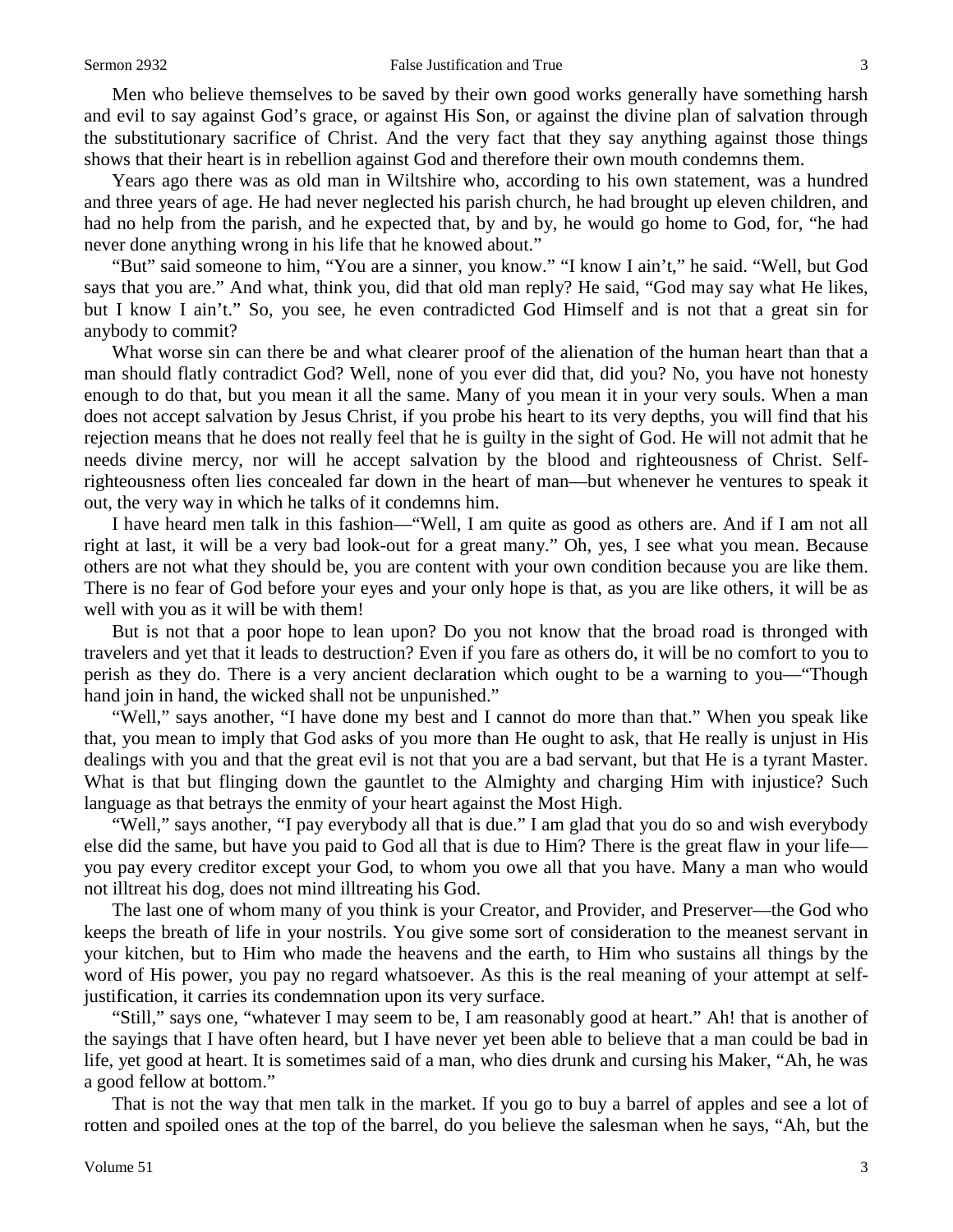Men who believe themselves to be saved by their own good works generally have something harsh and evil to say against God's grace, or against His Son, or against the divine plan of salvation through the substitutionary sacrifice of Christ. And the very fact that they say anything against those things shows that their heart is in rebellion against God and therefore their own mouth condemns them.

Years ago there was as old man in Wiltshire who, according to his own statement, was a hundred and three years of age. He had never neglected his parish church, he had brought up eleven children, and had no help from the parish, and he expected that, by and by, he would go home to God, for, "he had never done anything wrong in his life that he knowed about."

"But" said someone to him, "You are a sinner, you know." "I know I ain't," he said. "Well, but God says that you are." And what, think you, did that old man reply? He said, "God may say what He likes, but I know I ain't." So, you see, he even contradicted God Himself and is not that a great sin for anybody to commit?

What worse sin can there be and what clearer proof of the alienation of the human heart than that a man should flatly contradict God? Well, none of you ever did that, did you? No, you have not honesty enough to do that, but you mean it all the same. Many of you mean it in your very souls. When a man does not accept salvation by Jesus Christ, if you probe his heart to its very depths, you will find that his rejection means that he does not really feel that he is guilty in the sight of God. He will not admit that he needs divine mercy, nor will he accept salvation by the blood and righteousness of Christ. Selfrighteousness often lies concealed far down in the heart of man—but whenever he ventures to speak it out, the very way in which he talks of it condemns him.

I have heard men talk in this fashion—"Well, I am quite as good as others are. And if I am not all right at last, it will be a very bad look-out for a great many." Oh, yes, I see what you mean. Because others are not what they should be, you are content with your own condition because you are like them. There is no fear of God before your eyes and your only hope is that, as you are like others, it will be as well with you as it will be with them!

But is not that a poor hope to lean upon? Do you not know that the broad road is thronged with travelers and yet that it leads to destruction? Even if you fare as others do, it will be no comfort to you to perish as they do. There is a very ancient declaration which ought to be a warning to you—"Though hand join in hand, the wicked shall not be unpunished."

"Well," says another, "I have done my best and I cannot do more than that." When you speak like that, you mean to imply that God asks of you more than He ought to ask, that He really is unjust in His dealings with you and that the great evil is not that you are a bad servant, but that He is a tyrant Master. What is that but flinging down the gauntlet to the Almighty and charging Him with injustice? Such language as that betrays the enmity of your heart against the Most High.

"Well," says another, "I pay everybody all that is due." I am glad that you do so and wish everybody else did the same, but have you paid to God all that is due to Him? There is the great flaw in your life you pay every creditor except your God, to whom you owe all that you have. Many a man who would not illtreat his dog, does not mind illtreating his God.

The last one of whom many of you think is your Creator, and Provider, and Preserver—the God who keeps the breath of life in your nostrils. You give some sort of consideration to the meanest servant in your kitchen, but to Him who made the heavens and the earth, to Him who sustains all things by the word of His power, you pay no regard whatsoever. As this is the real meaning of your attempt at selfjustification, it carries its condemnation upon its very surface.

"Still," says one, "whatever I may seem to be, I am reasonably good at heart." Ah! that is another of the sayings that I have often heard, but I have never yet been able to believe that a man could be bad in life, yet good at heart. It is sometimes said of a man, who dies drunk and cursing his Maker, "Ah, he was a good fellow at bottom."

That is not the way that men talk in the market. If you go to buy a barrel of apples and see a lot of rotten and spoiled ones at the top of the barrel, do you believe the salesman when he says, "Ah, but the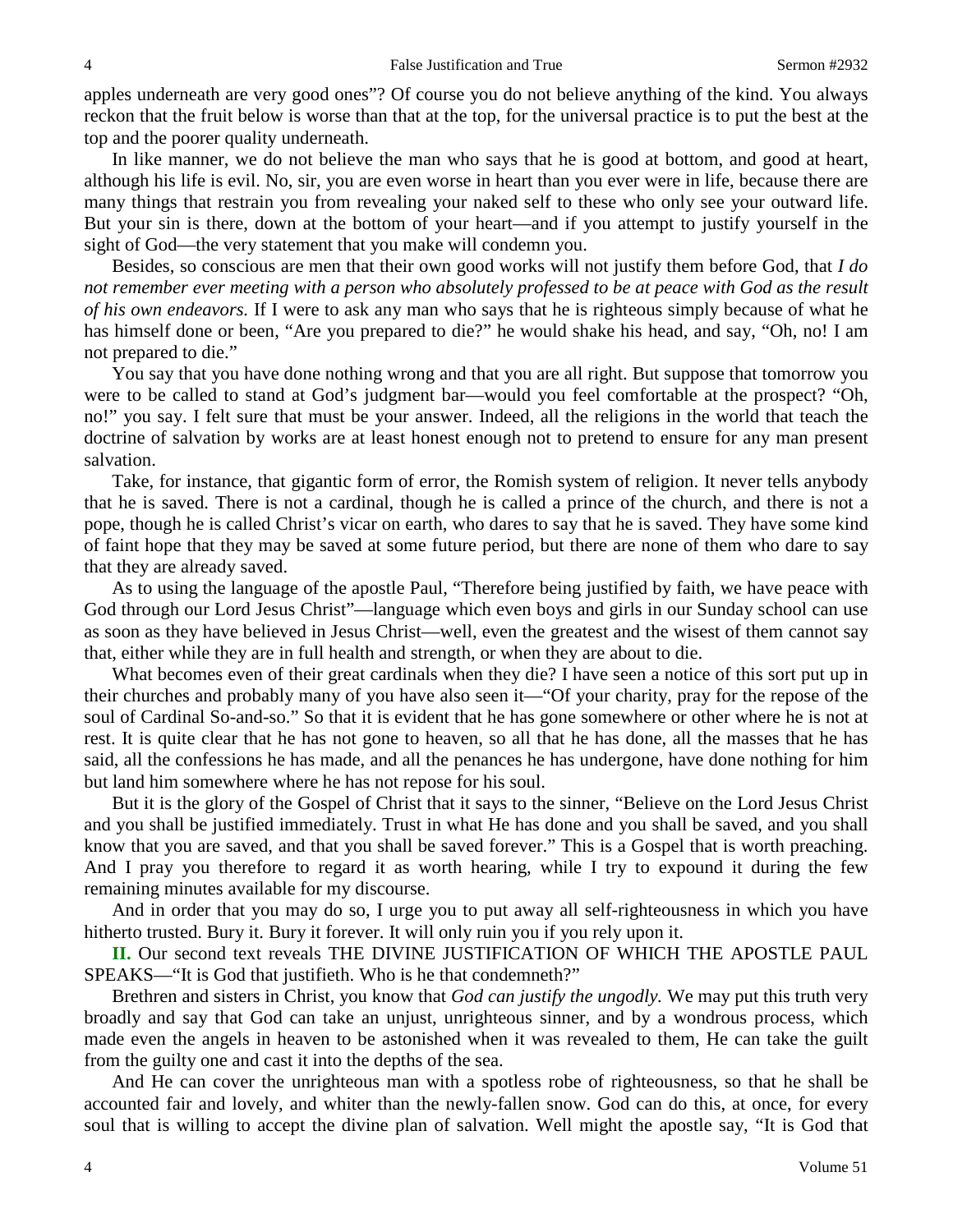apples underneath are very good ones"? Of course you do not believe anything of the kind. You always reckon that the fruit below is worse than that at the top, for the universal practice is to put the best at the top and the poorer quality underneath.

In like manner, we do not believe the man who says that he is good at bottom, and good at heart, although his life is evil. No, sir, you are even worse in heart than you ever were in life, because there are many things that restrain you from revealing your naked self to these who only see your outward life. But your sin is there, down at the bottom of your heart—and if you attempt to justify yourself in the sight of God—the very statement that you make will condemn you.

Besides, so conscious are men that their own good works will not justify them before God, that *I do not remember ever meeting with a person who absolutely professed to be at peace with God as the result of his own endeavors.* If I were to ask any man who says that he is righteous simply because of what he has himself done or been, "Are you prepared to die?" he would shake his head, and say, "Oh, no! I am not prepared to die."

You say that you have done nothing wrong and that you are all right. But suppose that tomorrow you were to be called to stand at God's judgment bar—would you feel comfortable at the prospect? "Oh, no!" you say. I felt sure that must be your answer. Indeed, all the religions in the world that teach the doctrine of salvation by works are at least honest enough not to pretend to ensure for any man present salvation.

Take, for instance, that gigantic form of error, the Romish system of religion. It never tells anybody that he is saved. There is not a cardinal, though he is called a prince of the church, and there is not a pope, though he is called Christ's vicar on earth, who dares to say that he is saved. They have some kind of faint hope that they may be saved at some future period, but there are none of them who dare to say that they are already saved.

As to using the language of the apostle Paul, "Therefore being justified by faith, we have peace with God through our Lord Jesus Christ"—language which even boys and girls in our Sunday school can use as soon as they have believed in Jesus Christ—well, even the greatest and the wisest of them cannot say that, either while they are in full health and strength, or when they are about to die.

What becomes even of their great cardinals when they die? I have seen a notice of this sort put up in their churches and probably many of you have also seen it—"Of your charity, pray for the repose of the soul of Cardinal So-and-so." So that it is evident that he has gone somewhere or other where he is not at rest. It is quite clear that he has not gone to heaven, so all that he has done, all the masses that he has said, all the confessions he has made, and all the penances he has undergone, have done nothing for him but land him somewhere where he has not repose for his soul.

But it is the glory of the Gospel of Christ that it says to the sinner, "Believe on the Lord Jesus Christ and you shall be justified immediately. Trust in what He has done and you shall be saved, and you shall know that you are saved, and that you shall be saved forever." This is a Gospel that is worth preaching. And I pray you therefore to regard it as worth hearing, while I try to expound it during the few remaining minutes available for my discourse.

And in order that you may do so, I urge you to put away all self-righteousness in which you have hitherto trusted. Bury it. Bury it forever. It will only ruin you if you rely upon it.

**II.** Our second text reveals THE DIVINE JUSTIFICATION OF WHICH THE APOSTLE PAUL SPEAKS—"It is God that justifieth. Who is he that condemneth?"

Brethren and sisters in Christ, you know that *God can justify the ungodly.* We may put this truth very broadly and say that God can take an unjust, unrighteous sinner, and by a wondrous process, which made even the angels in heaven to be astonished when it was revealed to them, He can take the guilt from the guilty one and cast it into the depths of the sea.

And He can cover the unrighteous man with a spotless robe of righteousness, so that he shall be accounted fair and lovely, and whiter than the newly-fallen snow. God can do this, at once, for every soul that is willing to accept the divine plan of salvation. Well might the apostle say, "It is God that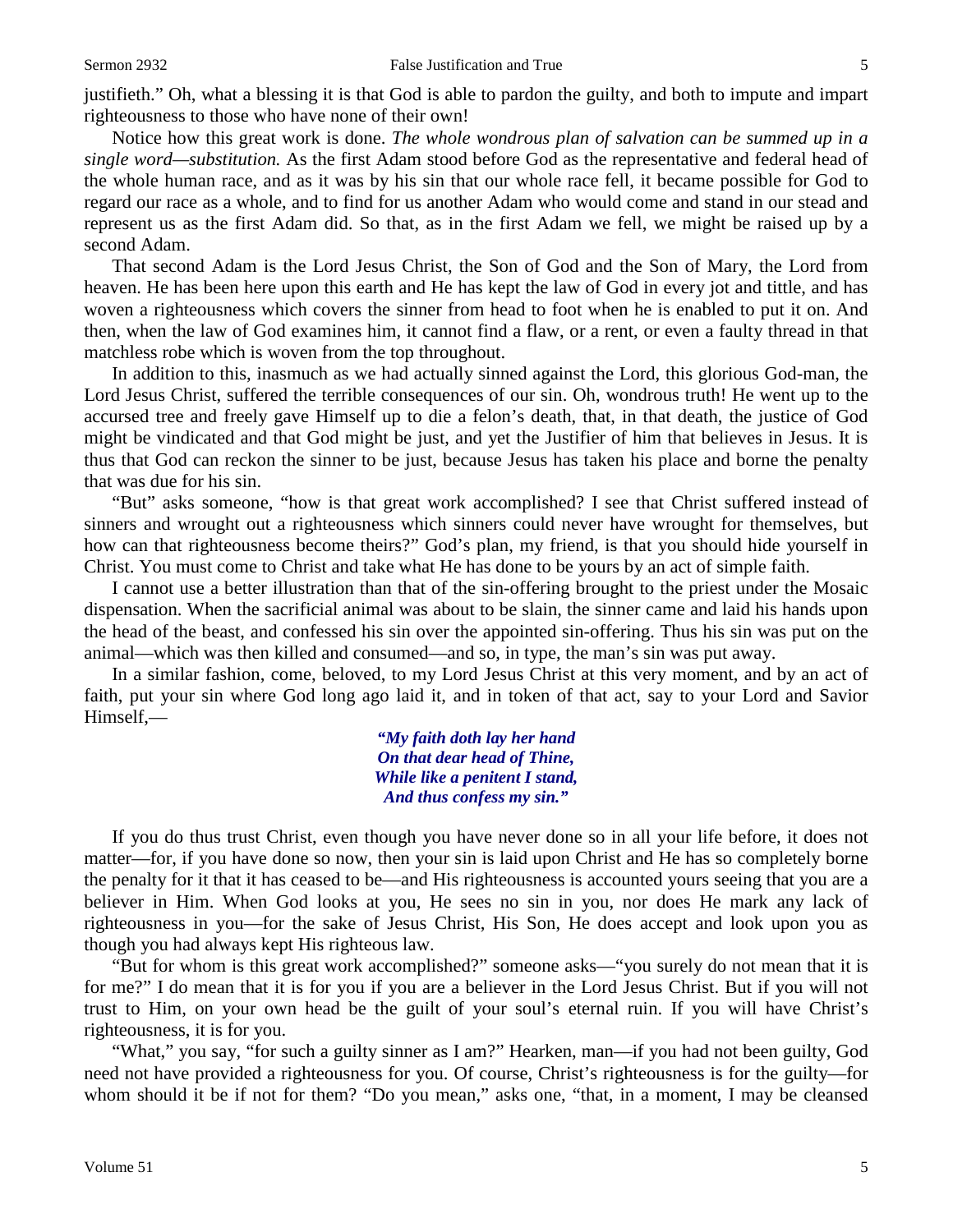justifieth." Oh, what a blessing it is that God is able to pardon the guilty, and both to impute and impart righteousness to those who have none of their own!

Notice how this great work is done. *The whole wondrous plan of salvation can be summed up in a single word—substitution.* As the first Adam stood before God as the representative and federal head of the whole human race, and as it was by his sin that our whole race fell, it became possible for God to regard our race as a whole, and to find for us another Adam who would come and stand in our stead and represent us as the first Adam did. So that, as in the first Adam we fell, we might be raised up by a second Adam.

That second Adam is the Lord Jesus Christ, the Son of God and the Son of Mary, the Lord from heaven. He has been here upon this earth and He has kept the law of God in every jot and tittle, and has woven a righteousness which covers the sinner from head to foot when he is enabled to put it on. And then, when the law of God examines him, it cannot find a flaw, or a rent, or even a faulty thread in that matchless robe which is woven from the top throughout.

In addition to this, inasmuch as we had actually sinned against the Lord, this glorious God-man, the Lord Jesus Christ, suffered the terrible consequences of our sin. Oh, wondrous truth! He went up to the accursed tree and freely gave Himself up to die a felon's death, that, in that death, the justice of God might be vindicated and that God might be just, and yet the Justifier of him that believes in Jesus. It is thus that God can reckon the sinner to be just, because Jesus has taken his place and borne the penalty that was due for his sin.

"But" asks someone, "how is that great work accomplished? I see that Christ suffered instead of sinners and wrought out a righteousness which sinners could never have wrought for themselves, but how can that righteousness become theirs?" God's plan, my friend, is that you should hide yourself in Christ. You must come to Christ and take what He has done to be yours by an act of simple faith.

I cannot use a better illustration than that of the sin-offering brought to the priest under the Mosaic dispensation. When the sacrificial animal was about to be slain, the sinner came and laid his hands upon the head of the beast, and confessed his sin over the appointed sin-offering. Thus his sin was put on the animal—which was then killed and consumed—and so, in type, the man's sin was put away.

In a similar fashion, come, beloved, to my Lord Jesus Christ at this very moment, and by an act of faith, put your sin where God long ago laid it, and in token of that act, say to your Lord and Savior Himself,—

> *"My faith doth lay her hand On that dear head of Thine, While like a penitent I stand, And thus confess my sin."*

If you do thus trust Christ, even though you have never done so in all your life before, it does not matter—for, if you have done so now, then your sin is laid upon Christ and He has so completely borne the penalty for it that it has ceased to be—and His righteousness is accounted yours seeing that you are a believer in Him. When God looks at you, He sees no sin in you, nor does He mark any lack of righteousness in you—for the sake of Jesus Christ, His Son, He does accept and look upon you as though you had always kept His righteous law.

"But for whom is this great work accomplished?" someone asks—"you surely do not mean that it is for me?" I do mean that it is for you if you are a believer in the Lord Jesus Christ. But if you will not trust to Him, on your own head be the guilt of your soul's eternal ruin. If you will have Christ's righteousness, it is for you.

"What," you say, "for such a guilty sinner as I am?" Hearken, man—if you had not been guilty, God need not have provided a righteousness for you. Of course, Christ's righteousness is for the guilty—for whom should it be if not for them? "Do you mean," asks one, "that, in a moment, I may be cleansed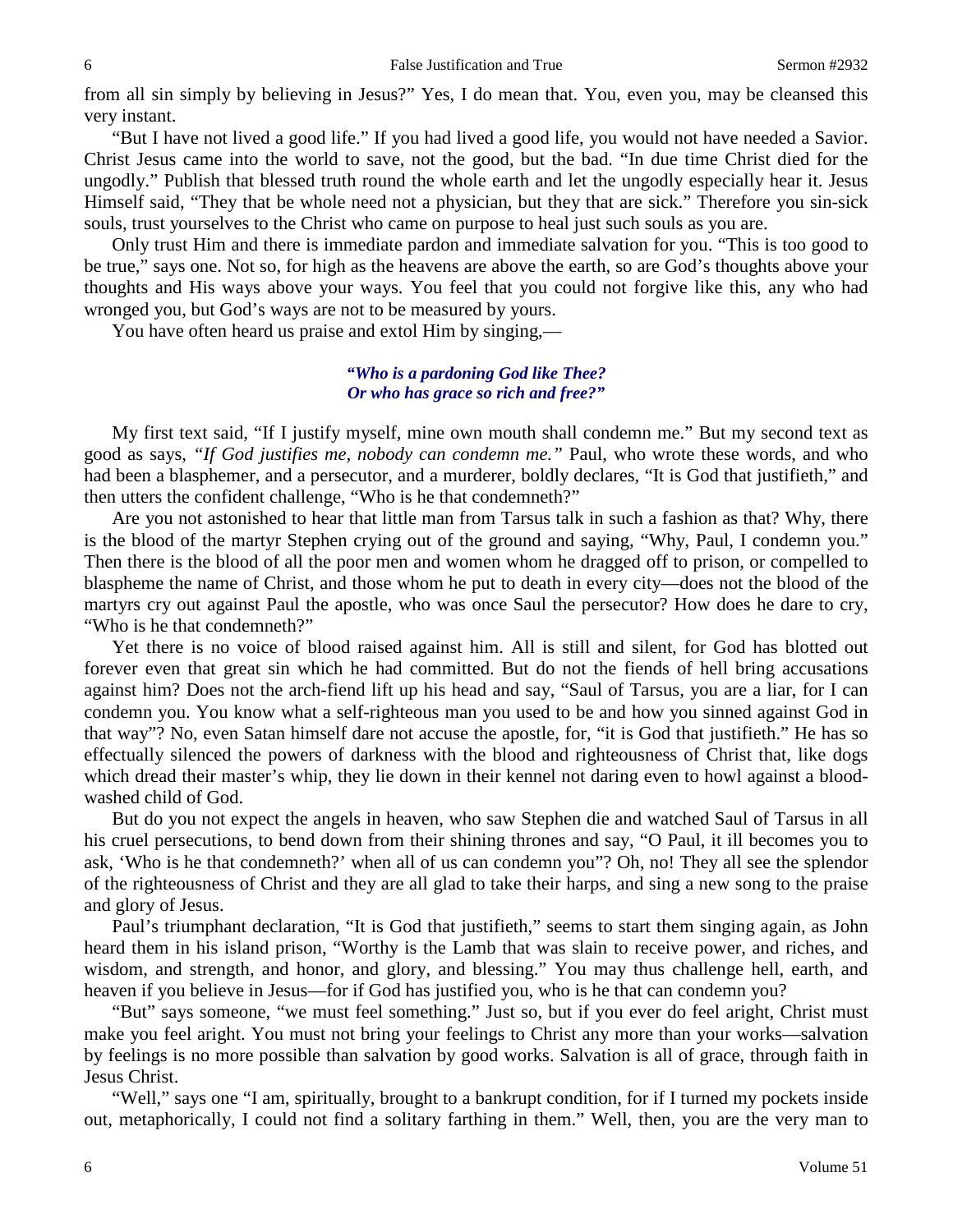from all sin simply by believing in Jesus?" Yes, I do mean that. You, even you, may be cleansed this very instant.

"But I have not lived a good life." If you had lived a good life, you would not have needed a Savior. Christ Jesus came into the world to save, not the good, but the bad. "In due time Christ died for the ungodly." Publish that blessed truth round the whole earth and let the ungodly especially hear it. Jesus Himself said, "They that be whole need not a physician, but they that are sick." Therefore you sin-sick souls, trust yourselves to the Christ who came on purpose to heal just such souls as you are.

Only trust Him and there is immediate pardon and immediate salvation for you. "This is too good to be true," says one. Not so, for high as the heavens are above the earth, so are God's thoughts above your thoughts and His ways above your ways. You feel that you could not forgive like this, any who had wronged you, but God's ways are not to be measured by yours.

You have often heard us praise and extol Him by singing,—

### *"Who is a pardoning God like Thee? Or who has grace so rich and free?"*

My first text said, "If I justify myself, mine own mouth shall condemn me." But my second text as good as says, *"If God justifies me, nobody can condemn me."* Paul, who wrote these words, and who had been a blasphemer, and a persecutor, and a murderer, boldly declares, "It is God that justifieth," and then utters the confident challenge, "Who is he that condemneth?"

Are you not astonished to hear that little man from Tarsus talk in such a fashion as that? Why, there is the blood of the martyr Stephen crying out of the ground and saying, "Why, Paul, I condemn you." Then there is the blood of all the poor men and women whom he dragged off to prison, or compelled to blaspheme the name of Christ, and those whom he put to death in every city—does not the blood of the martyrs cry out against Paul the apostle, who was once Saul the persecutor? How does he dare to cry, "Who is he that condemneth?"

Yet there is no voice of blood raised against him. All is still and silent, for God has blotted out forever even that great sin which he had committed. But do not the fiends of hell bring accusations against him? Does not the arch-fiend lift up his head and say, "Saul of Tarsus, you are a liar, for I can condemn you. You know what a self-righteous man you used to be and how you sinned against God in that way"? No, even Satan himself dare not accuse the apostle, for, "it is God that justifieth." He has so effectually silenced the powers of darkness with the blood and righteousness of Christ that, like dogs which dread their master's whip, they lie down in their kennel not daring even to howl against a bloodwashed child of God.

But do you not expect the angels in heaven, who saw Stephen die and watched Saul of Tarsus in all his cruel persecutions, to bend down from their shining thrones and say, "O Paul, it ill becomes you to ask, 'Who is he that condemneth?' when all of us can condemn you"? Oh, no! They all see the splendor of the righteousness of Christ and they are all glad to take their harps, and sing a new song to the praise and glory of Jesus.

Paul's triumphant declaration, "It is God that justifieth," seems to start them singing again, as John heard them in his island prison, "Worthy is the Lamb that was slain to receive power, and riches, and wisdom, and strength, and honor, and glory, and blessing." You may thus challenge hell, earth, and heaven if you believe in Jesus—for if God has justified you, who is he that can condemn you?

"But" says someone, "we must feel something." Just so, but if you ever do feel aright, Christ must make you feel aright. You must not bring your feelings to Christ any more than your works—salvation by feelings is no more possible than salvation by good works. Salvation is all of grace, through faith in Jesus Christ.

"Well," says one "I am, spiritually, brought to a bankrupt condition, for if I turned my pockets inside out, metaphorically, I could not find a solitary farthing in them." Well, then, you are the very man to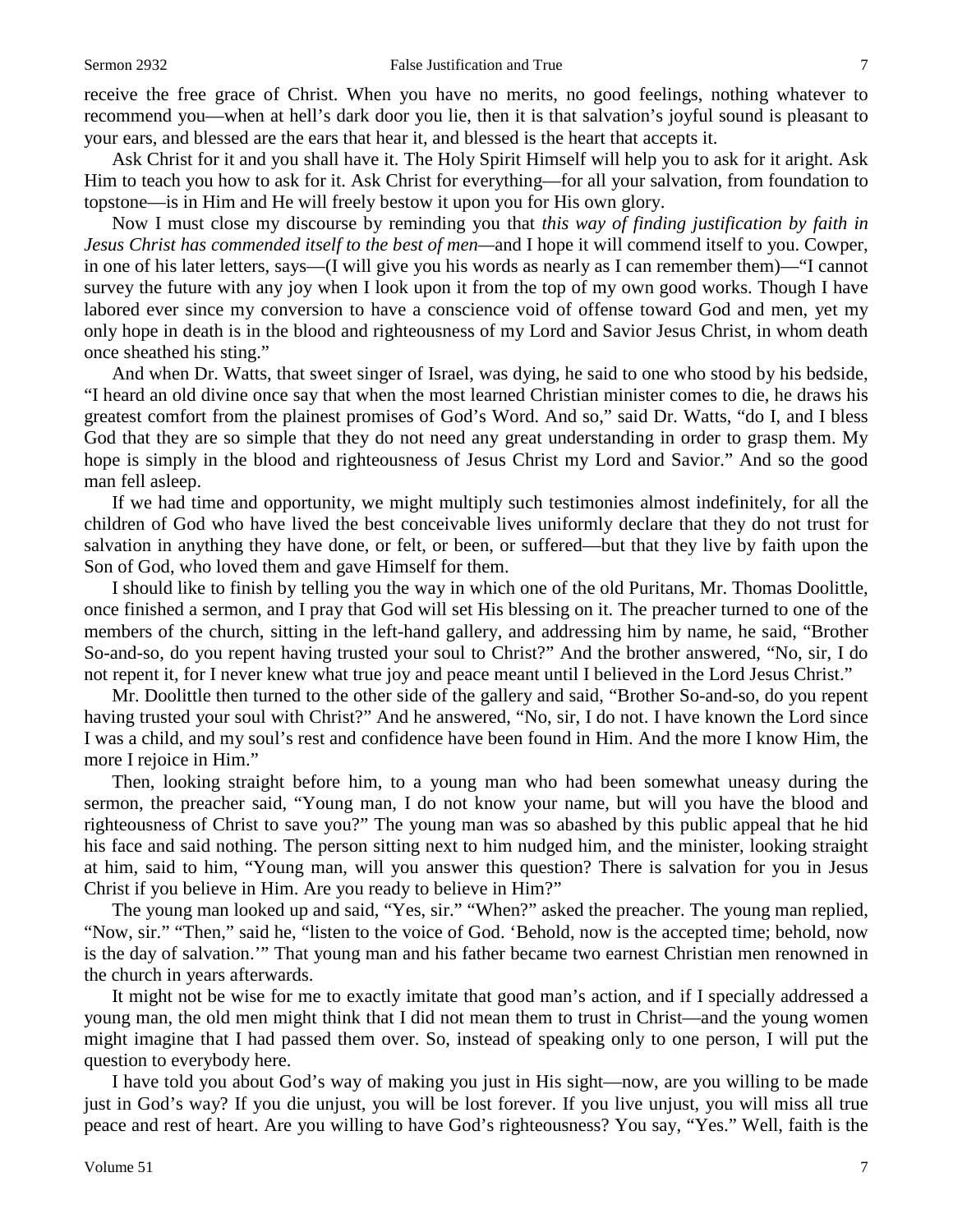receive the free grace of Christ. When you have no merits, no good feelings, nothing whatever to recommend you—when at hell's dark door you lie, then it is that salvation's joyful sound is pleasant to your ears, and blessed are the ears that hear it, and blessed is the heart that accepts it.

Ask Christ for it and you shall have it. The Holy Spirit Himself will help you to ask for it aright. Ask Him to teach you how to ask for it. Ask Christ for everything—for all your salvation, from foundation to topstone—is in Him and He will freely bestow it upon you for His own glory.

Now I must close my discourse by reminding you that *this way of finding justification by faith in Jesus Christ has commended itself to the best of men—*and I hope it will commend itself to you. Cowper, in one of his later letters, says—(I will give you his words as nearly as I can remember them)—"I cannot survey the future with any joy when I look upon it from the top of my own good works. Though I have labored ever since my conversion to have a conscience void of offense toward God and men, yet my only hope in death is in the blood and righteousness of my Lord and Savior Jesus Christ, in whom death once sheathed his sting."

And when Dr. Watts, that sweet singer of Israel, was dying, he said to one who stood by his bedside, "I heard an old divine once say that when the most learned Christian minister comes to die, he draws his greatest comfort from the plainest promises of God's Word. And so," said Dr. Watts, "do I, and I bless God that they are so simple that they do not need any great understanding in order to grasp them. My hope is simply in the blood and righteousness of Jesus Christ my Lord and Savior." And so the good man fell asleep.

If we had time and opportunity, we might multiply such testimonies almost indefinitely, for all the children of God who have lived the best conceivable lives uniformly declare that they do not trust for salvation in anything they have done, or felt, or been, or suffered—but that they live by faith upon the Son of God, who loved them and gave Himself for them.

I should like to finish by telling you the way in which one of the old Puritans, Mr. Thomas Doolittle, once finished a sermon, and I pray that God will set His blessing on it. The preacher turned to one of the members of the church, sitting in the left-hand gallery, and addressing him by name, he said, "Brother So-and-so, do you repent having trusted your soul to Christ?" And the brother answered, "No, sir, I do not repent it, for I never knew what true joy and peace meant until I believed in the Lord Jesus Christ."

Mr. Doolittle then turned to the other side of the gallery and said, "Brother So-and-so, do you repent having trusted your soul with Christ?" And he answered, "No, sir, I do not. I have known the Lord since I was a child, and my soul's rest and confidence have been found in Him. And the more I know Him, the more I rejoice in Him."

Then, looking straight before him, to a young man who had been somewhat uneasy during the sermon, the preacher said, "Young man, I do not know your name, but will you have the blood and righteousness of Christ to save you?" The young man was so abashed by this public appeal that he hid his face and said nothing. The person sitting next to him nudged him, and the minister, looking straight at him, said to him, "Young man, will you answer this question? There is salvation for you in Jesus Christ if you believe in Him. Are you ready to believe in Him?"

The young man looked up and said, "Yes, sir." "When?" asked the preacher. The young man replied, "Now, sir." "Then," said he, "listen to the voice of God. 'Behold, now is the accepted time; behold, now is the day of salvation.'" That young man and his father became two earnest Christian men renowned in the church in years afterwards.

It might not be wise for me to exactly imitate that good man's action, and if I specially addressed a young man, the old men might think that I did not mean them to trust in Christ—and the young women might imagine that I had passed them over. So, instead of speaking only to one person, I will put the question to everybody here.

I have told you about God's way of making you just in His sight—now, are you willing to be made just in God's way? If you die unjust, you will be lost forever. If you live unjust, you will miss all true peace and rest of heart. Are you willing to have God's righteousness? You say, "Yes." Well, faith is the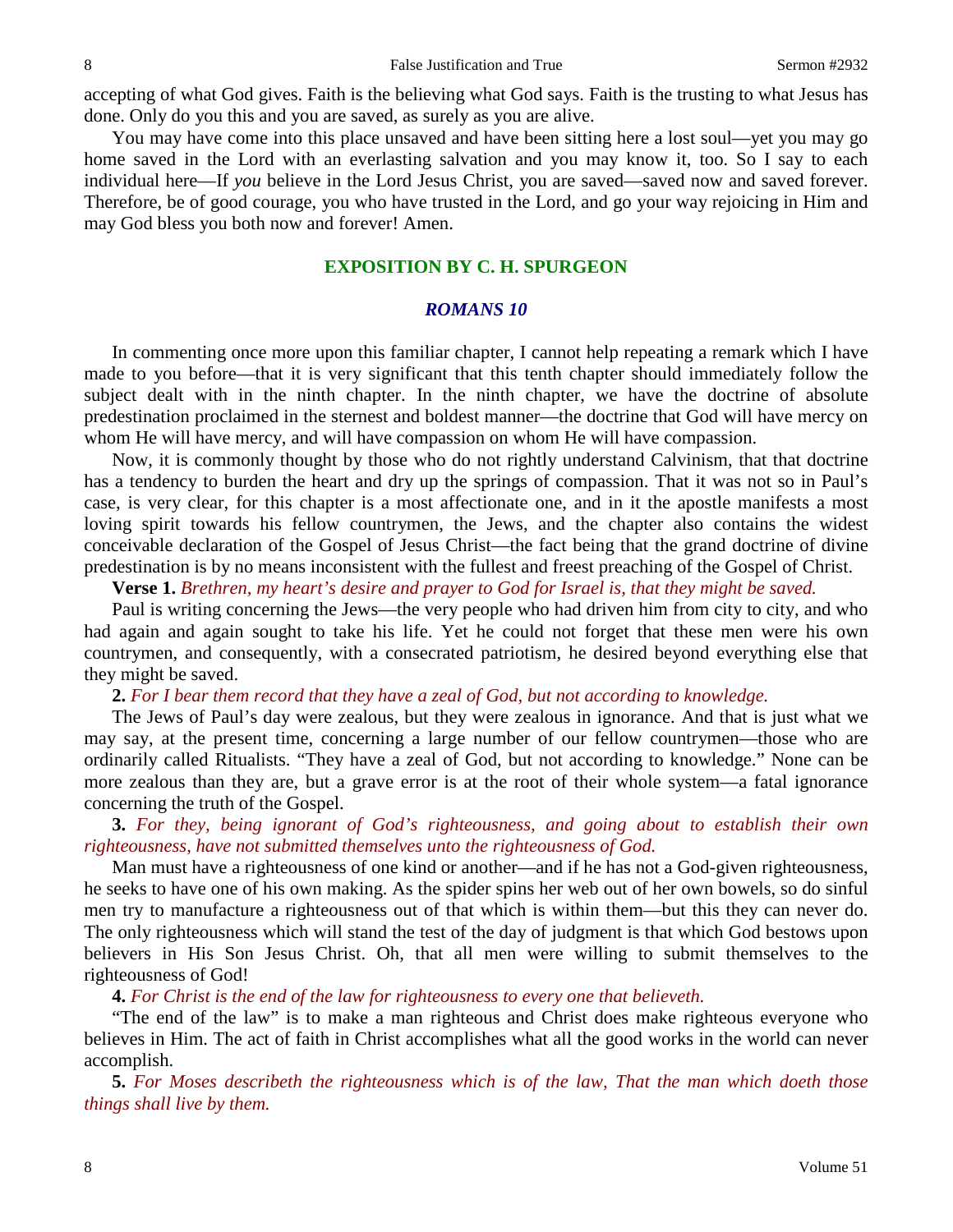accepting of what God gives. Faith is the believing what God says. Faith is the trusting to what Jesus has done. Only do you this and you are saved, as surely as you are alive.

You may have come into this place unsaved and have been sitting here a lost soul—yet you may go home saved in the Lord with an everlasting salvation and you may know it, too. So I say to each individual here—If *you* believe in the Lord Jesus Christ, you are saved—saved now and saved forever. Therefore, be of good courage, you who have trusted in the Lord, and go your way rejoicing in Him and may God bless you both now and forever! Amen.

## **EXPOSITION BY C. H. SPURGEON**

#### *ROMANS 10*

In commenting once more upon this familiar chapter, I cannot help repeating a remark which I have made to you before—that it is very significant that this tenth chapter should immediately follow the subject dealt with in the ninth chapter. In the ninth chapter, we have the doctrine of absolute predestination proclaimed in the sternest and boldest manner—the doctrine that God will have mercy on whom He will have mercy, and will have compassion on whom He will have compassion.

Now, it is commonly thought by those who do not rightly understand Calvinism, that that doctrine has a tendency to burden the heart and dry up the springs of compassion. That it was not so in Paul's case, is very clear, for this chapter is a most affectionate one, and in it the apostle manifests a most loving spirit towards his fellow countrymen, the Jews, and the chapter also contains the widest conceivable declaration of the Gospel of Jesus Christ—the fact being that the grand doctrine of divine predestination is by no means inconsistent with the fullest and freest preaching of the Gospel of Christ.

**Verse 1.** *Brethren, my heart's desire and prayer to God for Israel is, that they might be saved.*

Paul is writing concerning the Jews—the very people who had driven him from city to city, and who had again and again sought to take his life. Yet he could not forget that these men were his own countrymen, and consequently, with a consecrated patriotism, he desired beyond everything else that they might be saved.

**2.** *For I bear them record that they have a zeal of God, but not according to knowledge.* 

The Jews of Paul's day were zealous, but they were zealous in ignorance. And that is just what we may say, at the present time, concerning a large number of our fellow countrymen—those who are ordinarily called Ritualists. "They have a zeal of God, but not according to knowledge." None can be more zealous than they are, but a grave error is at the root of their whole system—a fatal ignorance concerning the truth of the Gospel.

**3.** *For they, being ignorant of God's righteousness, and going about to establish their own righteousness, have not submitted themselves unto the righteousness of God.* 

Man must have a righteousness of one kind or another—and if he has not a God-given righteousness, he seeks to have one of his own making. As the spider spins her web out of her own bowels, so do sinful men try to manufacture a righteousness out of that which is within them—but this they can never do. The only righteousness which will stand the test of the day of judgment is that which God bestows upon believers in His Son Jesus Christ. Oh, that all men were willing to submit themselves to the righteousness of God!

**4.** *For Christ is the end of the law for righteousness to every one that believeth.* 

"The end of the law" is to make a man righteous and Christ does make righteous everyone who believes in Him. The act of faith in Christ accomplishes what all the good works in the world can never accomplish.

**5.** *For Moses describeth the righteousness which is of the law, That the man which doeth those things shall live by them.*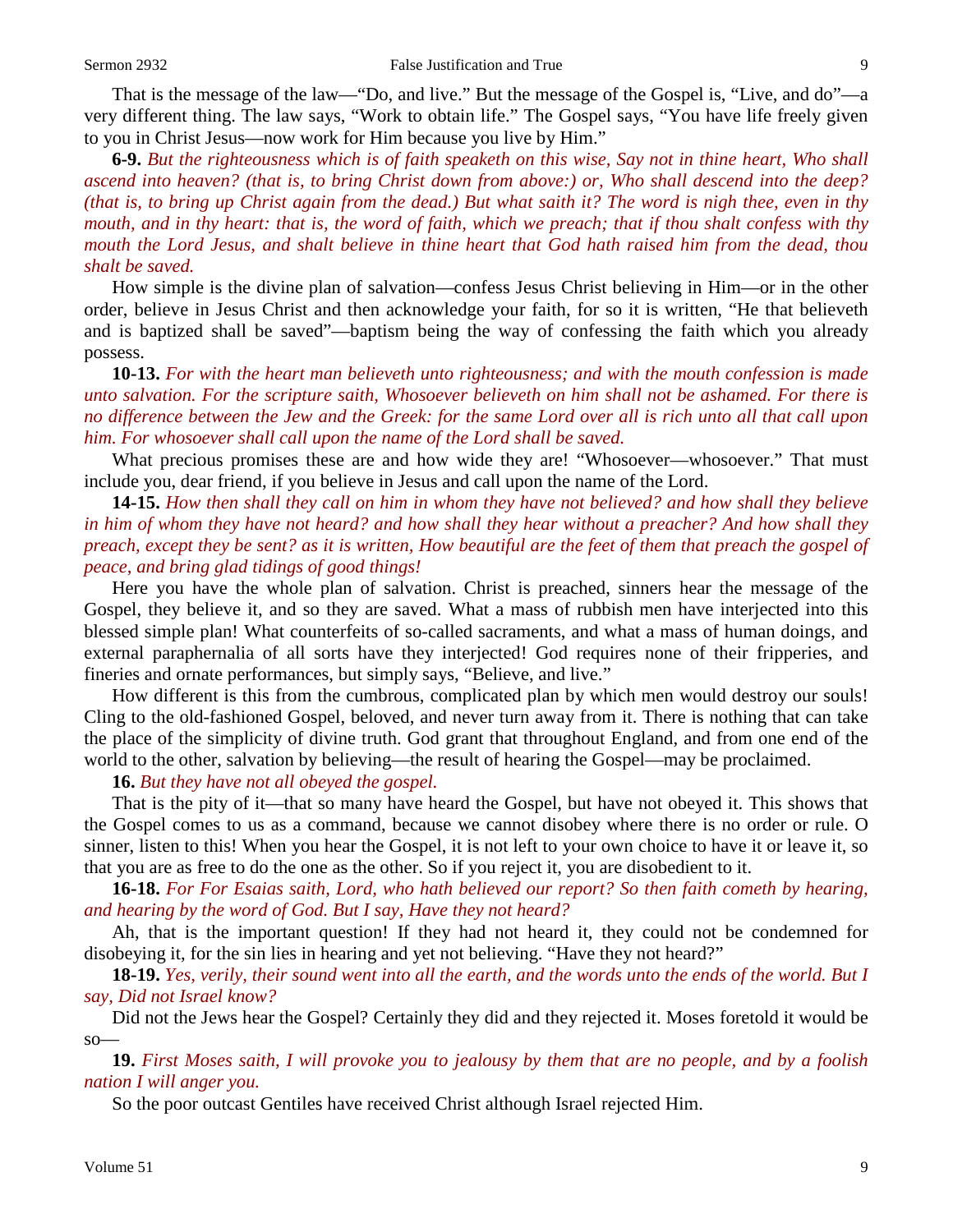That is the message of the law—"Do, and live." But the message of the Gospel is, "Live, and do"—a very different thing. The law says, "Work to obtain life." The Gospel says, "You have life freely given to you in Christ Jesus—now work for Him because you live by Him."

**6-9.** *But the righteousness which is of faith speaketh on this wise, Say not in thine heart, Who shall ascend into heaven? (that is, to bring Christ down from above:) or, Who shall descend into the deep? (that is, to bring up Christ again from the dead.) But what saith it? The word is nigh thee, even in thy mouth, and in thy heart: that is, the word of faith, which we preach; that if thou shalt confess with thy mouth the Lord Jesus, and shalt believe in thine heart that God hath raised him from the dead, thou shalt be saved.*

How simple is the divine plan of salvation—confess Jesus Christ believing in Him—or in the other order, believe in Jesus Christ and then acknowledge your faith, for so it is written, "He that believeth and is baptized shall be saved"—baptism being the way of confessing the faith which you already possess.

**10-13.** *For with the heart man believeth unto righteousness; and with the mouth confession is made unto salvation. For the scripture saith, Whosoever believeth on him shall not be ashamed. For there is no difference between the Jew and the Greek: for the same Lord over all is rich unto all that call upon him. For whosoever shall call upon the name of the Lord shall be saved.*

What precious promises these are and how wide they are! "Whosoever—whosoever." That must include you, dear friend, if you believe in Jesus and call upon the name of the Lord.

**14-15.** *How then shall they call on him in whom they have not believed? and how shall they believe in him of whom they have not heard? and how shall they hear without a preacher? And how shall they preach, except they be sent? as it is written, How beautiful are the feet of them that preach the gospel of peace, and bring glad tidings of good things!*

Here you have the whole plan of salvation. Christ is preached, sinners hear the message of the Gospel, they believe it, and so they are saved. What a mass of rubbish men have interjected into this blessed simple plan! What counterfeits of so-called sacraments, and what a mass of human doings, and external paraphernalia of all sorts have they interjected! God requires none of their fripperies, and fineries and ornate performances, but simply says, "Believe, and live."

How different is this from the cumbrous, complicated plan by which men would destroy our souls! Cling to the old-fashioned Gospel, beloved, and never turn away from it. There is nothing that can take the place of the simplicity of divine truth. God grant that throughout England, and from one end of the world to the other, salvation by believing—the result of hearing the Gospel—may be proclaimed.

## **16.** *But they have not all obeyed the gospel.*

That is the pity of it—that so many have heard the Gospel, but have not obeyed it. This shows that the Gospel comes to us as a command, because we cannot disobey where there is no order or rule. O sinner, listen to this! When you hear the Gospel, it is not left to your own choice to have it or leave it, so that you are as free to do the one as the other. So if you reject it, you are disobedient to it.

**16-18.** *For For Esaias saith, Lord, who hath believed our report? So then faith cometh by hearing, and hearing by the word of God. But I say, Have they not heard?* 

Ah, that is the important question! If they had not heard it, they could not be condemned for disobeying it, for the sin lies in hearing and yet not believing. "Have they not heard?"

**18-19.** *Yes, verily, their sound went into all the earth, and the words unto the ends of the world. But I say, Did not Israel know?*

Did not the Jews hear the Gospel? Certainly they did and they rejected it. Moses foretold it would be  $so$ —

**19.** *First Moses saith, I will provoke you to jealousy by them that are no people, and by a foolish nation I will anger you.* 

So the poor outcast Gentiles have received Christ although Israel rejected Him.